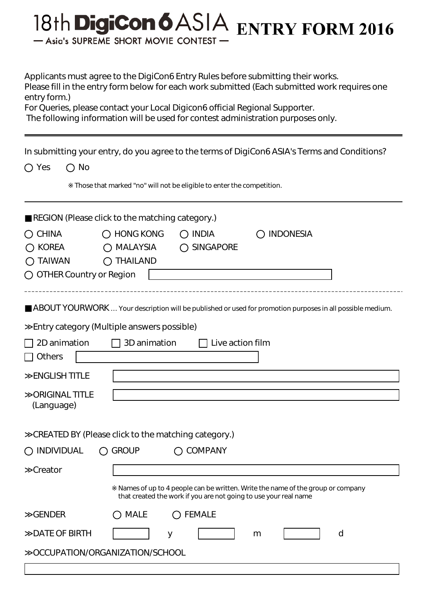## 18th DigiCon 6 ASIA ENTRY FORM 2016 - Asia's SUPREME SHORT MOVIE CONTEST

Applicants must agree to the DigiCon6 Entry Rules before submitting their works. Please fill in the entry form below for each work submitted (Each submitted work requires one entry form.)

For Queries, please contact your Local Digicon6 official Regional Supporter.

The following information will be used for contest administration purposes only.

|                                     | In submitting your entry, do you agree to the terms of DigiCon6ASIA's Terms and Conditions?                                                                                                 |  |
|-------------------------------------|---------------------------------------------------------------------------------------------------------------------------------------------------------------------------------------------|--|
| $\bigcirc$ No<br>$\bigcirc$ Yes     |                                                                                                                                                                                             |  |
|                                     | Those that marked "no" will not be eligible to enter the competition.                                                                                                                       |  |
|                                     | REGION (Please click to the matching category.)                                                                                                                                             |  |
| <b>CHINA</b><br>( )                 | $\bigcirc$ HONG KONG<br>$\bigcirc$ INDIA<br><b>INDONESIA</b>                                                                                                                                |  |
| <b>KOREA</b>                        | $\bigcirc$ MALAYSIA<br>◯ SINGAPORE                                                                                                                                                          |  |
| <b>TAIWAN</b><br>$\bigcap$ Thailand |                                                                                                                                                                                             |  |
| $\bigcirc$ OTHER Country or Region  |                                                                                                                                                                                             |  |
| 2D animation                        | ABOUT YOURWORK  Your description will be published or used for promotion purposes in all possible medium.<br>Entry category (Multiple answers possible)<br>3D animation<br>Live action film |  |
| <b>Others</b>                       |                                                                                                                                                                                             |  |
|                                     |                                                                                                                                                                                             |  |
| <b>ENGLISH TITLE</b>                |                                                                                                                                                                                             |  |
| <b>ORIGINAL TITLE</b><br>(Language) |                                                                                                                                                                                             |  |
|                                     | CREATED BY (Please click to the matching category.)                                                                                                                                         |  |
| <b>INDIVIDUAL</b>                   | <b>COMPANY</b><br>$\bigcirc$ Group                                                                                                                                                          |  |
| Creator                             |                                                                                                                                                                                             |  |
|                                     | Names of up to 4 people can be written. Write the name of the group or company<br>that created the work if you are not going to use your real name                                          |  |
| <b>GENDER</b>                       | <b>MALE</b><br><b>FEMALE</b>                                                                                                                                                                |  |
| <b>DATE OF BIRTH</b>                | d<br>y<br>m                                                                                                                                                                                 |  |
|                                     | OCCUPATION/ORGANIZATION/SCHOOL                                                                                                                                                              |  |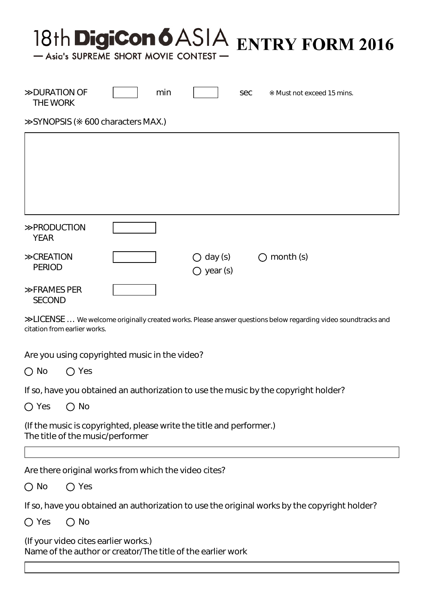## 18th DigiCon 6 ASIA ENTRY FORM 2016

- Asia's SUPREME SHORT MOVIE CONTEST

| <b>DURATION OF</b><br>THE WORK     | min |                                           | <b>Sec</b>                                    | Must not exceed 15 mins. |
|------------------------------------|-----|-------------------------------------------|-----------------------------------------------|--------------------------|
| SYNOPSIS ( 600 characters MAX.)    |     |                                           |                                               |                          |
|                                    |     |                                           |                                               |                          |
|                                    |     |                                           |                                               |                          |
|                                    |     |                                           |                                               |                          |
|                                    |     |                                           |                                               |                          |
| <b>PRODUCTION</b><br><b>YEAR</b>   |     |                                           |                                               |                          |
| <b>CREATION</b><br><b>PERIOD</b>   |     | $\bigcirc$ day (s)<br>$\bigcirc$ year (s) | $\left( \begin{array}{c} \end{array} \right)$ | month (s)                |
| <b>FRAMES PER</b><br><b>SECOND</b> |     |                                           |                                               |                          |

LICENSE ... We welcome originally created works. Please answer questions below regarding video soundtracks and citation from earlier works.

Are you using copyrighted music in the video?

 $\bigcap$  No  $\bigcap$  Yes

If so, have you obtained an authorization to use the music by the copyright holder?

 $\bigcap$  Yes  $\bigcap$  No

(If the music is copyrighted, please write the title and performer.) The title of the music/performer

Are there original works from which the video cites?

 $\bigcap$  No  $\bigcap$  Yes

If so, have you obtained an authorization to use the original works by the copyright holder?

 $O$  Yes  $O$  No

(If your video cites earlier works.) Name of the author or creator/The title of the earlier work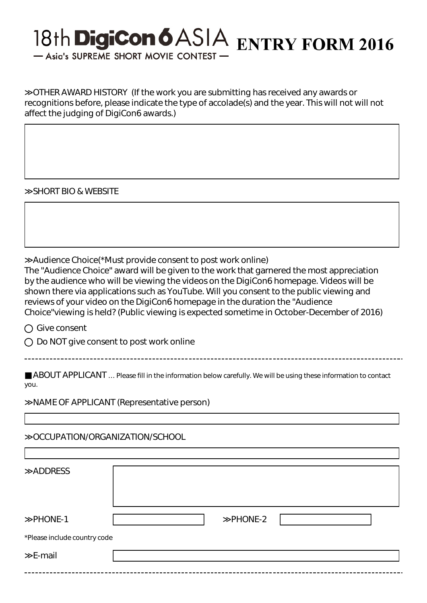## 18th DigiCon 6 ASIA ENTRY FORM 2016

- Asia's SUPREME SHORT MOVIE CONTEST

OTHER AWARD HISTORY (If the work you are submitting has received any awards or recognitions before, please indicate the type of accolade(s) and the year. This will not will not affect the judging of DigiCon6 awards.)

SHORT BIO & WEBSITE

Audience Choice(\*Must provide consent to post work online)

The "Audience Choice" award will be given to the work that garnered the most appreciation by the audience who will be viewing the videos on the DigiCon6 homepage. Videos will be shown there via applications such as YouTube. Will you consent to the public viewing and reviews of your video on the DigiCon6 homepage in the duration the "Audience Choice"viewing is held? (Public viewing is expected sometime in October-December of 2016)

○ Give consent

 $\bigcirc$  Do NOT give consent to post work online

ABOUT APPLICANT ... Please fill in the information below carefully. We will be using these information to contact you.

NAME OF APPLICANT (Representative person)

≫OCCUPATION/ORGANIZATION/SCHOOL

| <b>ADDRESS</b>               |         |  |
|------------------------------|---------|--|
| PHONE-1                      | PHONE-2 |  |
| *Please include country code |         |  |
| E-mail                       |         |  |
|                              |         |  |